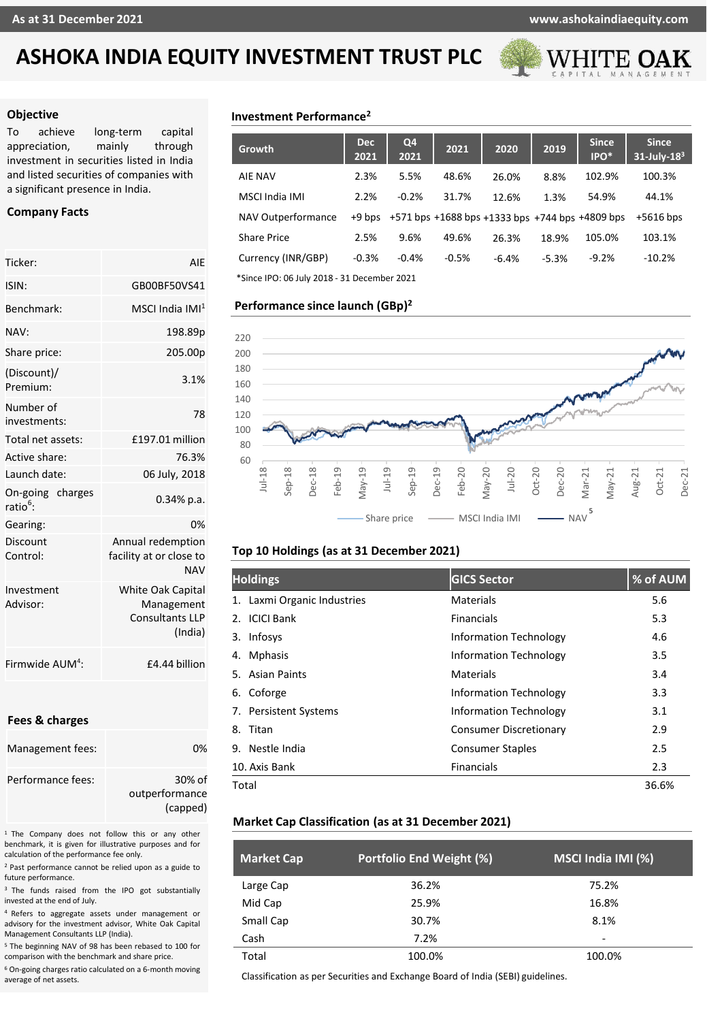

### **Objective**

To achieve long-term capital appreciation, mainly through investment in securities listed in India and listed securities of companies with a significant presence in India.

# **Company Facts**

| Ticker:                                 | AIF                                                                         |
|-----------------------------------------|-----------------------------------------------------------------------------|
| ISIN:                                   | GB00BF50VS41                                                                |
| Benchmark:                              | MSCI India IMI $^{\rm 1}$                                                   |
| NAV:                                    | 198.89p                                                                     |
| Share price:                            | 205.00p                                                                     |
| (Discount)/<br>Premium:                 | 3.1%                                                                        |
| Number of<br>investments:               | 78                                                                          |
| Total net assets:                       | £197.01 million                                                             |
| Active share:                           | 76.3%                                                                       |
| Launch date:                            | 06 July, 2018                                                               |
| On-going charges<br>ratio <sup>6.</sup> | $0.34\%$ p.a.                                                               |
| Gearing:                                | 0%                                                                          |
| Discount<br>Control:                    | Annual redemption<br>facility at or close to<br><b>NAV</b>                  |
| Investment<br>Advisor:                  | <b>White Oak Capital</b><br>Management<br><b>Consultants LLP</b><br>(India) |
| Firmwide AUM <sup>4</sup> :             | £4.44 billion                                                               |

## **Fees & charges**

| Management fees:  | በ%                         |
|-------------------|----------------------------|
| Performance fees: | 30% of                     |
|                   | outperformance<br>(capped) |

<sup>1</sup> The Company does not follow this or any other benchmark, it is given for illustrative purposes and for calculation of the performance fee only.

<sup>2</sup> Past performance cannot be relied upon as a guide to future performance.

<sup>3</sup> The funds raised from the IPO got substantially invested at the end of July.

<sup>4</sup> Refers to aggregate assets under management or advisory for the investment advisor, White Oak Capital Management Consultants LLP (India).

<sup>5</sup> The beginning NAV of 98 has been rebased to 100 for comparison with the benchmark and share price.

<sup>6</sup> On-going charges ratio calculated on a 6-month moving average of net assets.

# **Investment Performance<sup>2</sup>**

| Growth                                      | Dec<br>2021 | Q <sub>4</sub><br>2021 | 2021    | 2020                                                               | 2019    | <b>Since</b><br>IPO* | <b>Since</b><br>$31$ -July- $183$ |
|---------------------------------------------|-------------|------------------------|---------|--------------------------------------------------------------------|---------|----------------------|-----------------------------------|
| <b>AIE NAV</b>                              | 2.3%        | 5.5%                   | 48.6%   | 26.0%                                                              | 8.8%    | 102.9%               | 100.3%                            |
| MSCI India IMI                              | 2.2%        | $-0.2%$                | 31.7%   | 12.6%                                                              | 1.3%    | 54.9%                | 44.1%                             |
| NAV Outperformance                          |             |                        |         | $+9$ bps $+571$ bps $+1688$ bps $+1333$ bps $+744$ bps $+4809$ bps |         |                      | $+5616$ bps                       |
| <b>Share Price</b>                          | 2.5%        | 9.6%                   | 49.6%   | 26.3%                                                              | 18.9%   | 105.0%               | 103.1%                            |
| Currency (INR/GBP)                          | $-0.3%$     | $-0.4%$                | $-0.5%$ | $-6.4%$                                                            | $-5.3%$ | $-9.2%$              | $-10.2%$                          |
| *Since IPO: 06 July 2018 - 31 December 2021 |             |                        |         |                                                                    |         |                      |                                   |

# **Performance since launch (GBp) 2**



# **Top 10 Holdings (as at 31 December 2021)**

| <b>Holdings</b>             | <b>GICS Sector</b>            | % of AUM |
|-----------------------------|-------------------------------|----------|
| 1. Laxmi Organic Industries | <b>Materials</b>              | 5.6      |
| <b>ICICI Bank</b><br>2.     | Financials                    | 5.3      |
| Infosys<br>3.               | <b>Information Technology</b> | 4.6      |
| <b>Mphasis</b><br>4.        | <b>Information Technology</b> | 3.5      |
| 5. Asian Paints             | Materials                     | 3.4      |
| 6. Coforge                  | <b>Information Technology</b> | 3.3      |
| 7. Persistent Systems       | <b>Information Technology</b> | 3.1      |
| 8. Titan                    | <b>Consumer Discretionary</b> | 2.9      |
| 9. Nestle India             | <b>Consumer Staples</b>       | 2.5      |
| 10. Axis Bank               | <b>Financials</b>             | 2.3      |
| Total                       |                               | 36.6%    |

# **Market Cap Classification (as at 31 December 2021)**

| <b>Market Cap</b> | Portfolio End Weight (%) | MSCI India IMI (%) |
|-------------------|--------------------------|--------------------|
| Large Cap         | 36.2%                    | 75.2%              |
| Mid Cap           | 25.9%                    | 16.8%              |
| Small Cap         | 30.7%                    | 8.1%               |
| Cash              | 7.2%                     | ٠                  |
| Total             | 100.0%                   | 100.0%             |

Classification as per Securities and Exchange Board of India (SEBI) guidelines.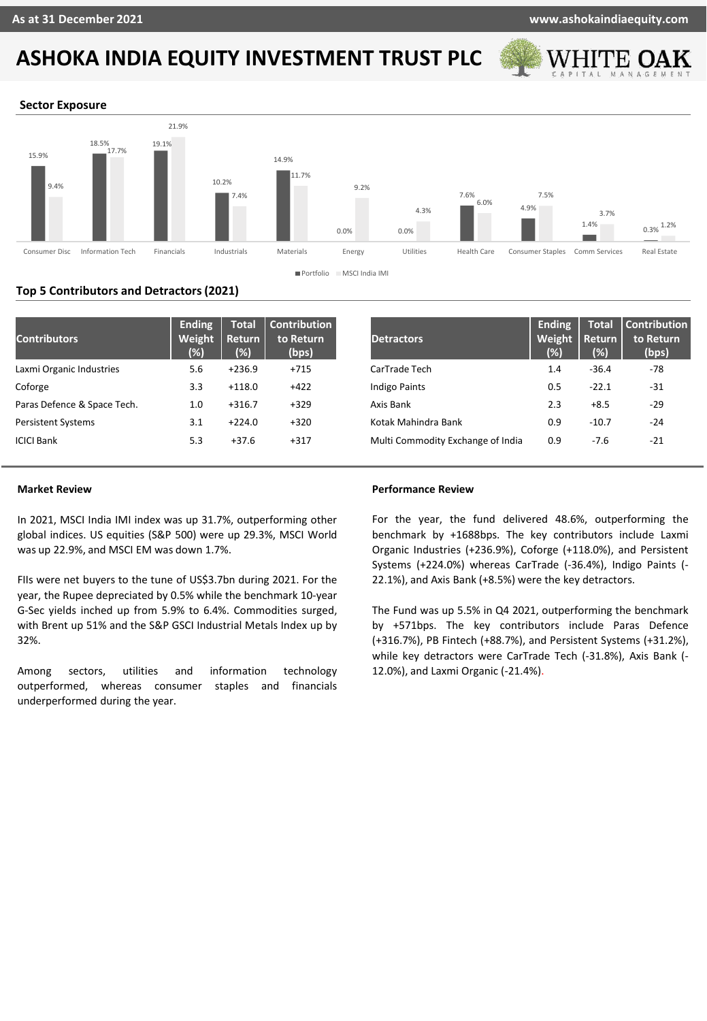

### **Sector Exposure**



# **Top 5 Contributors and Detractors (2021)**

| <b>Contributors</b>         | <b>Ending</b><br>Weight<br>(%) | <b>Total</b><br><b>Return</b><br>$(\%)$ | <b>Contribution</b><br>to Return<br>(bps) | <b>Detractors</b>                 | <b>Ending</b><br>Weight<br>(%) | <b>Total</b><br><b>Return</b><br>(% ) | Contribution<br>to Return<br>(bps) |
|-----------------------------|--------------------------------|-----------------------------------------|-------------------------------------------|-----------------------------------|--------------------------------|---------------------------------------|------------------------------------|
| Laxmi Organic Industries    | 5.6                            | $+236.9$                                | $+715$                                    | CarTrade Tech                     | 1.4                            | $-36.4$                               | $-78$                              |
| Coforge                     | 3.3                            | $+118.0$                                | $+422$                                    | <b>Indigo Paints</b>              | 0.5                            | $-22.1$                               | $-31$                              |
| Paras Defence & Space Tech. | 1.0                            | $+316.7$                                | $+329$                                    | Axis Bank                         | 2.3                            | $+8.5$                                | $-29$                              |
| <b>Persistent Systems</b>   | 3.1                            | $+224.0$                                | $+320$                                    | Kotak Mahindra Bank               | 0.9                            | $-10.7$                               | $-24$                              |
| <b>ICICI Bank</b>           | 5.3                            | $+37.6$                                 | $+317$                                    | Multi Commodity Exchange of India | 0.9                            | $-7.6$                                | $-21$                              |

# **Market Review**

In 2021, MSCI India IMI index was up 31.7%, outperforming other global indices. US equities (S&P 500) were up 29.3%, MSCI World was up 22.9%, and MSCI EM was down 1.7%.

FIIs were net buyers to the tune of US\$3.7bn during 2021. For the year, the Rupee depreciated by 0.5% while the benchmark 10-year G-Sec yields inched up from 5.9% to 6.4%. Commodities surged, with Brent up 51% and the S&P GSCI Industrial Metals Index up by 32%.

Among sectors, utilities and information technology outperformed, whereas consumer staples and financials underperformed during the year.

### **Performance Review**

For the year, the fund delivered 48.6%, outperforming the benchmark by +1688bps. The key contributors include Laxmi Organic Industries (+236.9%), Coforge (+118.0%), and Persistent Systems (+224.0%) whereas CarTrade (-36.4%), Indigo Paints (- 22.1%), and Axis Bank (+8.5%) were the key detractors.

The Fund was up 5.5% in Q4 2021, outperforming the benchmark by +571bps. The key contributors include Paras Defence (+316.7%), PB Fintech (+88.7%), and Persistent Systems (+31.2%), while key detractors were CarTrade Tech (-31.8%), Axis Bank (- 12.0%), and Laxmi Organic (-21.4%).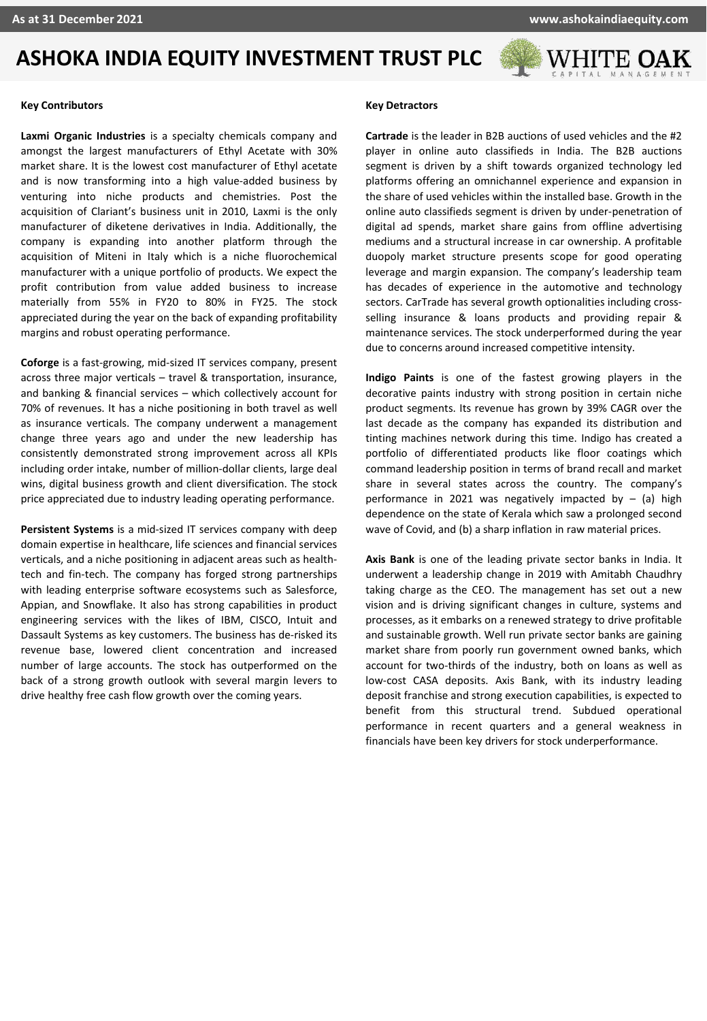

#### **Key Contributors**

**Laxmi Organic Industries** is a specialty chemicals company and amongst the largest manufacturers of Ethyl Acetate with 30% market share. It is the lowest cost manufacturer of Ethyl acetate and is now transforming into a high value-added business by venturing into niche products and chemistries. Post the acquisition of Clariant's business unit in 2010, Laxmi is the only manufacturer of diketene derivatives in India. Additionally, the company is expanding into another platform through the acquisition of Miteni in Italy which is a niche fluorochemical manufacturer with a unique portfolio of products. We expect the profit contribution from value added business to increase materially from 55% in FY20 to 80% in FY25. The stock appreciated during the year on the back of expanding profitability margins and robust operating performance.

**Coforge** is a fast-growing, mid-sized IT services company, present across three major verticals – travel & transportation, insurance, and banking & financial services – which collectively account for 70% of revenues. It has a niche positioning in both travel as well as insurance verticals. The company underwent a management change three years ago and under the new leadership has consistently demonstrated strong improvement across all KPIs including order intake, number of million-dollar clients, large deal wins, digital business growth and client diversification. The stock price appreciated due to industry leading operating performance.

**Persistent Systems** is a mid-sized IT services company with deep domain expertise in healthcare, life sciences and financial services verticals, and a niche positioning in adjacent areas such as healthtech and fin-tech. The company has forged strong partnerships with leading enterprise software ecosystems such as Salesforce, Appian, and Snowflake. It also has strong capabilities in product engineering services with the likes of IBM, CISCO, Intuit and Dassault Systems as key customers. The business has de-risked its revenue base, lowered client concentration and increased number of large accounts. The stock has outperformed on the back of a strong growth outlook with several margin levers to drive healthy free cash flow growth over the coming years.

### **Key Detractors**

**Cartrade** is the leader in B2B auctions of used vehicles and the #2 player in online auto classifieds in India. The B2B auctions segment is driven by a shift towards organized technology led platforms offering an omnichannel experience and expansion in the share of used vehicles within the installed base. Growth in the online auto classifieds segment is driven by under-penetration of digital ad spends, market share gains from offline advertising mediums and a structural increase in car ownership. A profitable duopoly market structure presents scope for good operating leverage and margin expansion. The company's leadership team has decades of experience in the automotive and technology sectors. CarTrade has several growth optionalities including crossselling insurance & loans products and providing repair & maintenance services. The stock underperformed during the year due to concerns around increased competitive intensity.

**Indigo Paints** is one of the fastest growing players in the decorative paints industry with strong position in certain niche product segments. Its revenue has grown by 39% CAGR over the last decade as the company has expanded its distribution and tinting machines network during this time. Indigo has created a portfolio of differentiated products like floor coatings which command leadership position in terms of brand recall and market share in several states across the country. The company's performance in 2021 was negatively impacted by  $-$  (a) high dependence on the state of Kerala which saw a prolonged second wave of Covid, and (b) a sharp inflation in raw material prices.

**Axis Bank** is one of the leading private sector banks in India. It underwent a leadership change in 2019 with Amitabh Chaudhry taking charge as the CEO. The management has set out a new vision and is driving significant changes in culture, systems and processes, as it embarks on a renewed strategy to drive profitable and sustainable growth. Well run private sector banks are gaining market share from poorly run government owned banks, which account for two-thirds of the industry, both on loans as well as low-cost CASA deposits. Axis Bank, with its industry leading deposit franchise and strong execution capabilities, is expected to benefit from this structural trend. Subdued operational performance in recent quarters and a general weakness in financials have been key drivers for stock underperformance.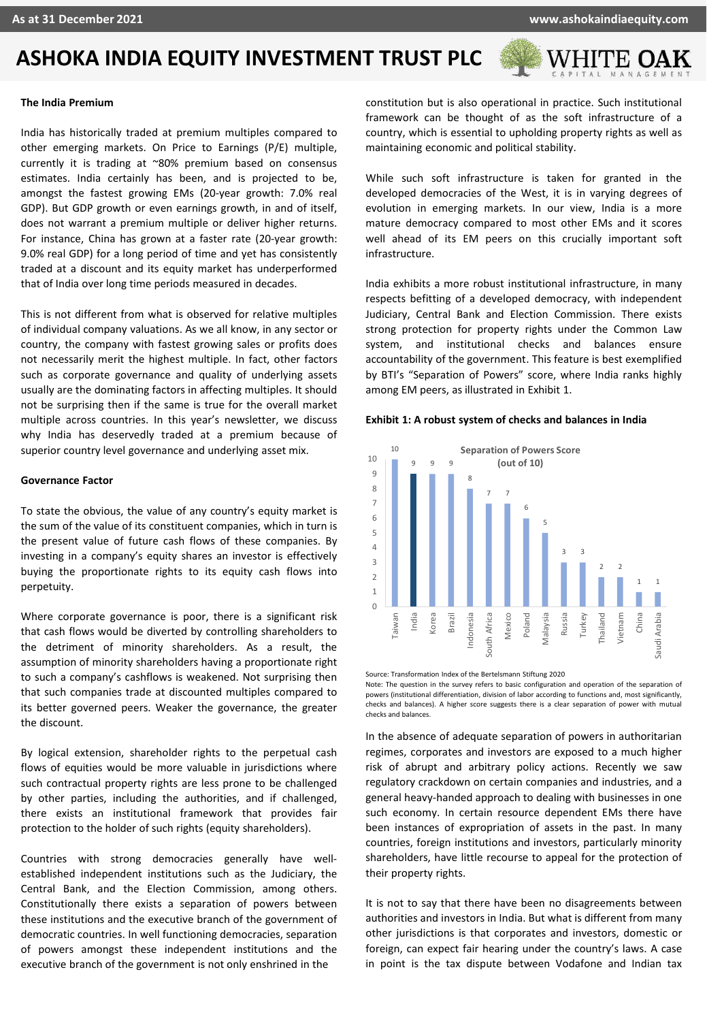

### **The India Premium**

a does not warrant a premium multiple or deliver higher returns. India has historically traded at premium multiples compared to other emerging markets. On Price to Earnings (P/E) multiple, currently it is trading at ~80% premium based on consensus estimates. India certainly has been, and is projected to be, amongst the fastest growing EMs (20-year growth: 7.0% real GDP). But GDP growth or even earnings growth, in and of itself, For instance, China has grown at a faster rate (20-year growth: 9.0% real GDP) for a long period of time and yet has consistently traded at a discount and its equity market has underperformed that of India over long time periods measured in decades.

This is not different from what is observed for relative multiples of individual company valuations. As we all know, in any sector or country, the company with fastest growing sales or profits does not necessarily merit the highest multiple. In fact, other factors such as corporate governance and quality of underlying assets usually are the dominating factors in affecting multiples. It should not be surprising then if the same is true for the overall market multiple across countries. In this year's newsletter, we discuss why India has deservedly traded at a premium because of superior country level governance and underlying asset mix.

#### **Governance Factor**

To state the obvious, the value of any country's equity market is the sum of the value of its constituent companies, which in turn is the present value of future cash flows of these companies. By investing in a company's equity shares an investor is effectively buying the proportionate rights to its equity cash flows into perpetuity.

Where corporate governance is poor, there is a significant risk that cash flows would be diverted by controlling shareholders to the detriment of minority shareholders. As a result, the assumption of minority shareholders having a proportionate right to such a company's cashflows is weakened. Not surprising then that such companies trade at discounted multiples compared to its better governed peers. Weaker the governance, the greater the discount.

By logical extension, shareholder rights to the perpetual cash flows of equities would be more valuable in jurisdictions where such contractual property rights are less prone to be challenged by other parties, including the authorities, and if challenged, there exists an institutional framework that provides fair protection to the holder of such rights (equity shareholders).

Countries with strong democracies generally have wellestablished independent institutions such as the Judiciary, the Central Bank, and the Election Commission, among others. Constitutionally there exists a separation of powers between these institutions and the executive branch of the government of democratic countries. In well functioning democracies, separation of powers amongst these independent institutions and the executive branch of the government is not only enshrined in the

constitution but is also operational in practice. Such institutional framework can be thought of as the soft infrastructure of a country, which is essential to upholding property rights as well as maintaining economic and political stability.

While such soft infrastructure is taken for granted in the developed democracies of the West, it is in varying degrees of evolution in emerging markets. In our view, India is a more mature democracy compared to most other EMs and it scores well ahead of its EM peers on this crucially important soft infrastructure.

India exhibits a more robust institutional infrastructure, in many respects befitting of a developed democracy, with independent Judiciary, Central Bank and Election Commission. There exists strong protection for property rights under the Common Law system, and institutional checks and balances ensure accountability of the government. This feature is best exemplified by BTI's "Separation of Powers" score, where India ranks highly among EM peers, as illustrated in Exhibit 1.

#### **Exhibit 1: A robust system of checks and balances in India**



Source: Transformation Index of the Bertelsmann Stiftung 2020 Note: The question in the survey refers to basic configuration and operation of the separation of powers (institutional differentiation, division of labor according to functions and, most significantly, checks and balances). A higher score suggests there is a clear separation of power with mutual checks and balances.

In the absence of adequate separation of powers in authoritarian regimes, corporates and investors are exposed to a much higher risk of abrupt and arbitrary policy actions. Recently we saw regulatory crackdown on certain companies and industries, and a general heavy-handed approach to dealing with businesses in one such economy. In certain resource dependent EMs there have been instances of expropriation of assets in the past. In many countries, foreign institutions and investors, particularly minority shareholders, have little recourse to appeal for the protection of their property rights.

It is not to say that there have been no disagreements between authorities and investors in India. But what is different from many other jurisdictions is that corporates and investors, domestic or foreign, can expect fair hearing under the country's laws. A case in point is the tax dispute between Vodafone and Indian tax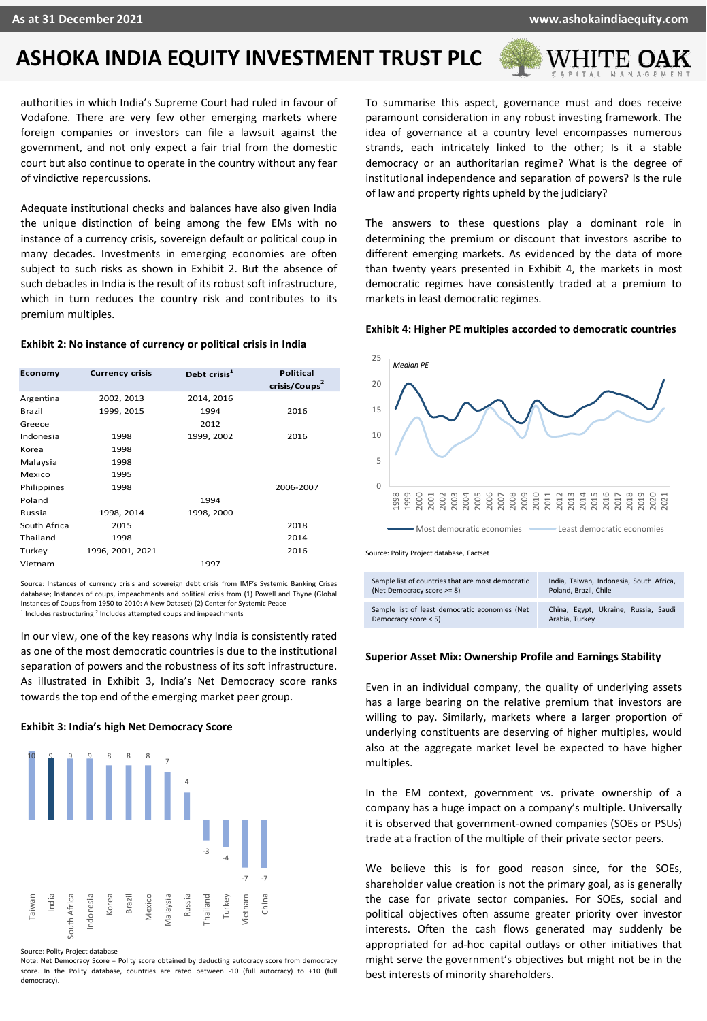

authorities in which India's Supreme Court had ruled in favour of Vodafone. There are very few other emerging markets where foreign companies or investors can file a lawsuit against the government, and not only expect a fair trial from the domestic court but also continue to operate in the country without any fear of vindictive repercussions.

Adequate institutional checks and balances have also given India the unique distinction of being among the few EMs with no instance of a currency crisis, sovereign default or political coup in many decades. Investments in emerging economies are often subject to such risks as shown in Exhibit 2. But the absence of such debacles in India is the result of its robust soft infrastructure, which in turn reduces the country risk and contributes to its premium multiples.

# **Exhibit 2: No instance of currency or political crisis in India**

| Economy      | <b>Currency crisis</b> | Debt crisis <sup>1</sup> | <b>Political</b><br>crisis/Coups <sup>2</sup> |
|--------------|------------------------|--------------------------|-----------------------------------------------|
| Argentina    | 2002, 2013             | 2014, 2016               |                                               |
| Brazil       | 1999, 2015             | 1994                     | 2016                                          |
| Greece       |                        | 2012                     |                                               |
| Indonesia    | 1998                   | 1999, 2002               | 2016                                          |
| Korea        | 1998                   |                          |                                               |
| Malaysia     | 1998                   |                          |                                               |
| Mexico       | 1995                   |                          |                                               |
| Philippines  | 1998                   |                          | 2006-2007                                     |
| Poland       |                        | 1994                     |                                               |
| Russia       | 1998, 2014             | 1998, 2000               |                                               |
| South Africa | 2015                   |                          | 2018                                          |
| Thailand     | 1998                   |                          | 2014                                          |
| Turkey       | 1996, 2001, 2021       |                          | 2016                                          |
| Vietnam      |                        | 1997                     |                                               |

Source: Instances of currency crisis and sovereign debt crisis from IMF's Systemic Banking Crises database; Instances of coups, impeachments and political crisis from (1) Powell and Thyne (Global Instances of Coups from 1950 to 2010: A New Dataset) (2) Center for Systemic Peace <sup>1</sup> Includes restructuring <sup>2</sup> Includes attempted coups and impeachments

In our view, one of the key reasons why India is consistently rated as one of the most democratic countries is due to the institutional separation of powers and the robustness of its soft infrastructure. As illustrated in Exhibit 3, India's Net Democracy score ranks towards the top end of the emerging market peer group.

## **Exhibit 3: India's high Net Democracy Score**



Source: Polity Project database

Note: Net Democracy Score = Polity score obtained by deducting autocracy score from democracy score. In the Polity database, countries are rated between -10 (full autocracy) to +10 (full democracy).

To summarise this aspect, governance must and does receive paramount consideration in any robust investing framework. The idea of governance at a country level encompasses numerous strands, each intricately linked to the other; Is it a stable democracy or an authoritarian regime? What is the degree of institutional independence and separation of powers? Is the rule of law and property rights upheld by the judiciary?

The answers to these questions play a dominant role in determining the premium or discount that investors ascribe to different emerging markets. As evidenced by the data of more than twenty years presented in Exhibit 4, the markets in most democratic regimes have consistently traded at a premium to markets in least democratic regimes.

#### **Exhibit 4: Higher PE multiples accorded to democratic countries**



#### **Superior Asset Mix: Ownership Profile and Earnings Stability**

Even in an individual company, the quality of underlying assets has a large bearing on the relative premium that investors are willing to pay. Similarly, markets where a larger proportion of underlying constituents are deserving of higher multiples, would also at the aggregate market level be expected to have higher multiples.

In the EM context, government vs. private ownership of a company has a huge impact on a company's multiple. Universally it is observed that government-owned companies (SOEs or PSUs) trade at a fraction of the multiple of their private sector peers.

We believe this is for good reason since, for the SOEs, shareholder value creation is not the primary goal, as is generally the case for private sector companies. For SOEs, social and political objectives often assume greater priority over investor interests. Often the cash flows generated may suddenly be appropriated for ad-hoc capital outlays or other initiatives that might serve the government's objectives but might not be in the best interests of minority shareholders.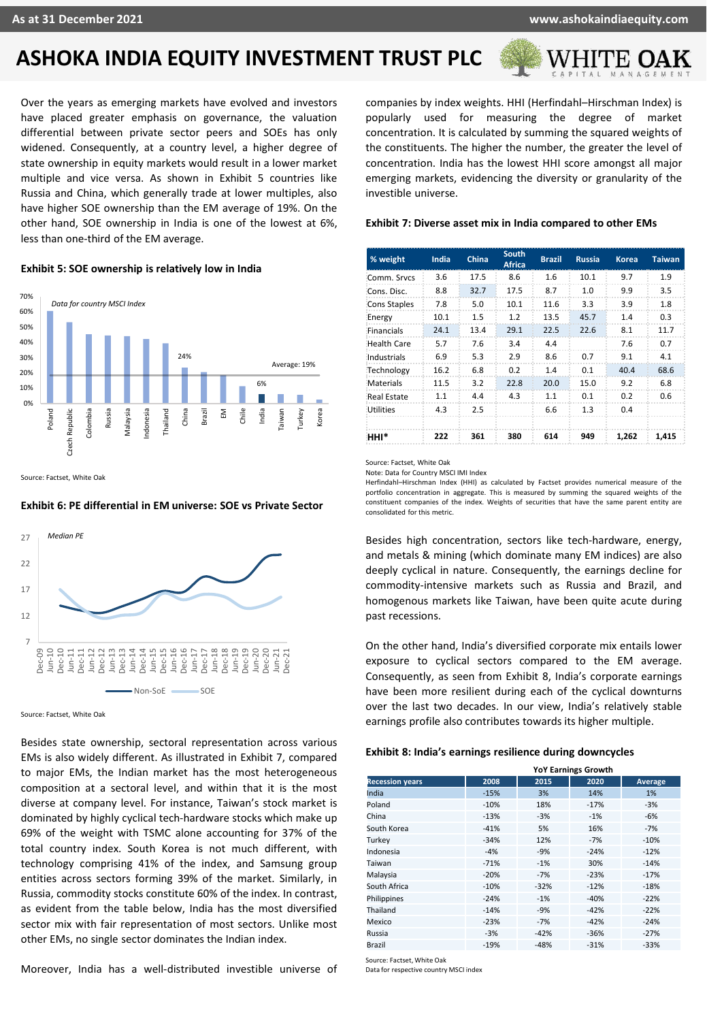

Over the years as emerging markets have evolved and investors have placed greater emphasis on governance, the valuation differential between private sector peers and SOEs has only widened. Consequently, at a country level, a higher degree of state ownership in equity markets would result in a lower market multiple and vice versa. As shown in Exhibit 5 countries like Russia and China, which generally trade at lower multiples, also have higher SOE ownership than the EM average of 19%. On the other hand, SOE ownership in India is one of the lowest at 6%, less than one-third of the EM average.

#### **Exhibit 5: SOE ownership is relatively low in India**



Source: Factset, White Oak

## **Exhibit 6: PE differential in EM universe: SOE vs Private Sector**



Source: Factset, White Oak

Besides state ownership, sectoral representation across various EMs is also widely different. As illustrated in Exhibit 7, compared to major EMs, the Indian market has the most heterogeneous composition at a sectoral level, and within that it is the most diverse at company level. For instance, Taiwan's stock market is dominated by highly cyclical tech-hardware stocks which make up 69% of the weight with TSMC alone accounting for 37% of the total country index. South Korea is not much different, with technology comprising 41% of the index, and Samsung group entities across sectors forming 39% of the market. Similarly, in Russia, commodity stocks constitute 60% of the index. In contrast, as evident from the table below, India has the most diversified sector mix with fair representation of most sectors. Unlike most other EMs, no single sector dominates the Indian index.

Moreover, India has a well-distributed investible universe of

companies by index weights. HHI (Herfindahl–Hirschman Index) is popularly used for measuring the degree of market concentration. It is calculated by summing the squared weights of the constituents. The higher the number, the greater the level of concentration. India has the lowest HHI score amongst all major emerging markets, evidencing the diversity or granularity of the investible universe.

# **Exhibit 7: Diverse asset mix in India compared to other EMs**

| % weight            | India | China | South<br><b>Africa</b> | <b>Brazil</b> | <b>Russia</b> | Korea | <b>Taiwan</b> |
|---------------------|-------|-------|------------------------|---------------|---------------|-------|---------------|
| Comm. Srycs         | 3.6   | 17.5  | 8.6                    | 1.6           | 10.1          | 9.7   | 1.9           |
| Cons. Disc.         | 8.8   | 32.7  | 17.5                   | 8.7           | 1.0           | 9.9   | 3.5           |
| <b>Cons Staples</b> | 7.8   | 5.0   | 10.1                   | 11.6          | 3.3           | 3.9   | 1.8           |
| Energy              | 10.1  | 1.5   | 1.2                    | 13.5          | 45.7          | 1.4   | 0.3           |
| Financials          | 24.1  | 13.4  | 29.1                   | 22.5          | 22.6          | 8.1   | 11.7          |
| <b>Health Care</b>  | 5.7   | 7.6   | 3.4                    | 4.4           |               | 7.6   | 0.7           |
| Industrials         | 6.9   | 5.3   | 2.9                    | 8.6           | 0.7           | 9.1   | 4.1           |
| Technology          | 16.2  | 6.8   | 0.2                    | 1.4           | 0.1           | 40.4  | 68.6          |
| Materials           | 11.5  | 3.2   | 22.8                   | 20.0          | 15.0          | 9.2   | 6.8           |
| <b>Real Estate</b>  | 1.1   | 4.4   | 4.3                    | 1.1           | 0.1           | 0.2   | 0.6           |
| <b>Utilities</b>    | 4.3   | 2.5   |                        | 6.6           | 1.3           | 0.4   |               |
| нні*                | 222   | 361   | 380                    | 614           | 949           | 1.262 | 1.415         |

Source: Factset, White Oak

Note: Data for Country MSCI IMI Index

Herfindahl–Hirschman Index (HHI) as calculated by Factset provides numerical measure of the portfolio concentration in aggregate. This is measured by summing the squared weights of the constituent companies of the index. Weights of securities that have the same parent entity are consolidated for this metric.

Besides high concentration, sectors like tech-hardware, energy, and metals & mining (which dominate many EM indices) are also deeply cyclical in nature. Consequently, the earnings decline for commodity-intensive markets such as Russia and Brazil, and homogenous markets like Taiwan, have been quite acute during past recessions.

On the other hand, India's diversified corporate mix entails lower exposure to cyclical sectors compared to the EM average. Consequently, as seen from Exhibit 8, India's corporate earnings have been more resilient during each of the cyclical downturns over the last two decades. In our view, India's relatively stable earnings profile also contributes towards its higher multiple.

#### **Exhibit 8: India's earnings resilience during downcycles**

|                        | <b>YoY Earnings Growth</b> |        |        |         |  |
|------------------------|----------------------------|--------|--------|---------|--|
| <b>Recession years</b> | 2008                       | 2015   | 2020   | Average |  |
| India                  | $-15%$                     | 3%     | 14%    | 1%      |  |
| Poland                 | $-10%$                     | 18%    | $-17%$ | $-3%$   |  |
| China                  | $-13%$                     | $-3%$  | $-1%$  | $-6%$   |  |
| South Korea            | $-41%$                     | 5%     | 16%    | $-7%$   |  |
| Turkey                 | $-34%$                     | 12%    | $-7%$  | $-10%$  |  |
| Indonesia              | $-4%$                      | $-9%$  | $-24%$ | $-12%$  |  |
| Taiwan                 | $-71%$                     | $-1%$  | 30%    | $-14%$  |  |
| Malaysia               | $-20%$                     | $-7%$  | $-23%$ | $-17%$  |  |
| South Africa           | $-10%$                     | $-32%$ | $-12%$ | $-18%$  |  |
| Philippines            | $-24%$                     | $-1%$  | $-40%$ | $-22%$  |  |
| Thailand               | $-14%$                     | $-9%$  | $-42%$ | $-22%$  |  |
| Mexico                 | $-23%$                     | $-7%$  | $-42%$ | $-24%$  |  |
| Russia                 | $-3%$                      | $-42%$ | $-36%$ | $-27%$  |  |
| <b>Brazil</b>          | $-19%$                     | $-48%$ | $-31%$ | $-33%$  |  |

Source: Factset, White Oak Data for respective country MSCI index